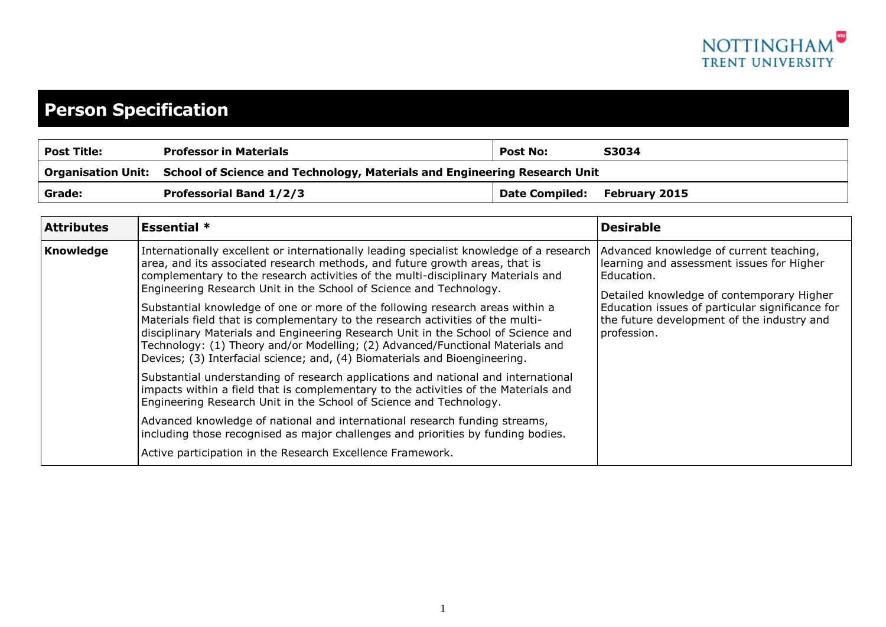

## **Person Specification**

| <b>Post Title:</b> | <b>Professor in Materials</b>                                                                | <b>Post No:</b>              | S3034 |
|--------------------|----------------------------------------------------------------------------------------------|------------------------------|-------|
|                    | Organisation Unit: School of Science and Technology, Materials and Engineering Research Unit |                              |       |
| Grade:             | <b>Professorial Band 1/2/3</b>                                                               | Date Compiled: February 2015 |       |

| <b>Attributes</b> | <b>Essential</b> $*$                                                                                                                                                                                                                                                                                                                                                                                                                                                                                                                                                                                                                                                                                                                                      | <b>Desirable</b>                                                                                                                                                                                                                                                |
|-------------------|-----------------------------------------------------------------------------------------------------------------------------------------------------------------------------------------------------------------------------------------------------------------------------------------------------------------------------------------------------------------------------------------------------------------------------------------------------------------------------------------------------------------------------------------------------------------------------------------------------------------------------------------------------------------------------------------------------------------------------------------------------------|-----------------------------------------------------------------------------------------------------------------------------------------------------------------------------------------------------------------------------------------------------------------|
| <b>Knowledge</b>  | Internationally excellent or internationally leading specialist knowledge of a research<br>area, and its associated research methods, and future growth areas, that is<br>complementary to the research activities of the multi-disciplinary Materials and<br>Engineering Research Unit in the School of Science and Technology.<br>Substantial knowledge of one or more of the following research areas within a<br>Materials field that is complementary to the research activities of the multi-<br>disciplinary Materials and Engineering Research Unit in the School of Science and<br>Technology: (1) Theory and/or Modelling; (2) Advanced/Functional Materials and<br>Devices; (3) Interfacial science; and, (4) Biomaterials and Bioengineering. | Advanced knowledge of current teaching,<br>learning and assessment issues for Higher<br>Education.<br>Detailed knowledge of contemporary Higher<br>Education issues of particular significance for<br>the future development of the industry and<br>profession. |
|                   | Substantial understanding of research applications and national and international<br>impacts within a field that is complementary to the activities of the Materials and<br>Engineering Research Unit in the School of Science and Technology.<br>Advanced knowledge of national and international research funding streams,<br>including those recognised as major challenges and priorities by funding bodies.                                                                                                                                                                                                                                                                                                                                          |                                                                                                                                                                                                                                                                 |
|                   | Active participation in the Research Excellence Framework.                                                                                                                                                                                                                                                                                                                                                                                                                                                                                                                                                                                                                                                                                                |                                                                                                                                                                                                                                                                 |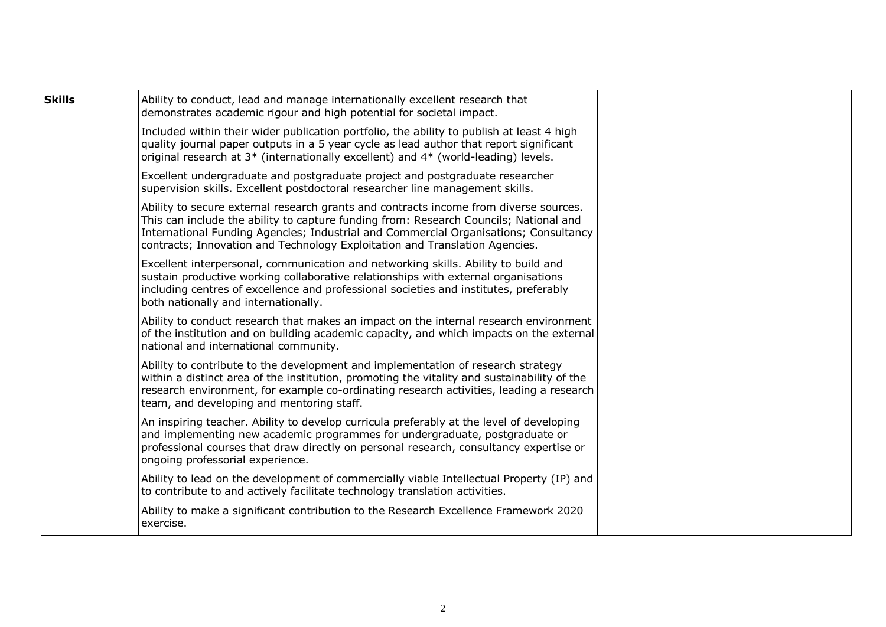| <b>Skills</b> | Ability to conduct, lead and manage internationally excellent research that<br>demonstrates academic rigour and high potential for societal impact.                                                                                                                                                                                                   |  |
|---------------|-------------------------------------------------------------------------------------------------------------------------------------------------------------------------------------------------------------------------------------------------------------------------------------------------------------------------------------------------------|--|
|               | Included within their wider publication portfolio, the ability to publish at least 4 high<br>quality journal paper outputs in a 5 year cycle as lead author that report significant<br>original research at 3* (internationally excellent) and 4* (world-leading) levels.                                                                             |  |
|               | Excellent undergraduate and postgraduate project and postgraduate researcher<br>supervision skills. Excellent postdoctoral researcher line management skills.                                                                                                                                                                                         |  |
|               | Ability to secure external research grants and contracts income from diverse sources.<br>This can include the ability to capture funding from: Research Councils; National and<br>International Funding Agencies; Industrial and Commercial Organisations; Consultancy<br>contracts; Innovation and Technology Exploitation and Translation Agencies. |  |
|               | Excellent interpersonal, communication and networking skills. Ability to build and<br>sustain productive working collaborative relationships with external organisations<br>including centres of excellence and professional societies and institutes, preferably<br>both nationally and internationally.                                             |  |
|               | Ability to conduct research that makes an impact on the internal research environment<br>of the institution and on building academic capacity, and which impacts on the external<br>national and international community.                                                                                                                             |  |
|               | Ability to contribute to the development and implementation of research strategy<br>within a distinct area of the institution, promoting the vitality and sustainability of the<br>research environment, for example co-ordinating research activities, leading a research<br>team, and developing and mentoring staff.                               |  |
|               | An inspiring teacher. Ability to develop curricula preferably at the level of developing<br>and implementing new academic programmes for undergraduate, postgraduate or<br>professional courses that draw directly on personal research, consultancy expertise or<br>ongoing professorial experience.                                                 |  |
|               | Ability to lead on the development of commercially viable Intellectual Property (IP) and<br>to contribute to and actively facilitate technology translation activities.                                                                                                                                                                               |  |
|               | Ability to make a significant contribution to the Research Excellence Framework 2020<br>exercise.                                                                                                                                                                                                                                                     |  |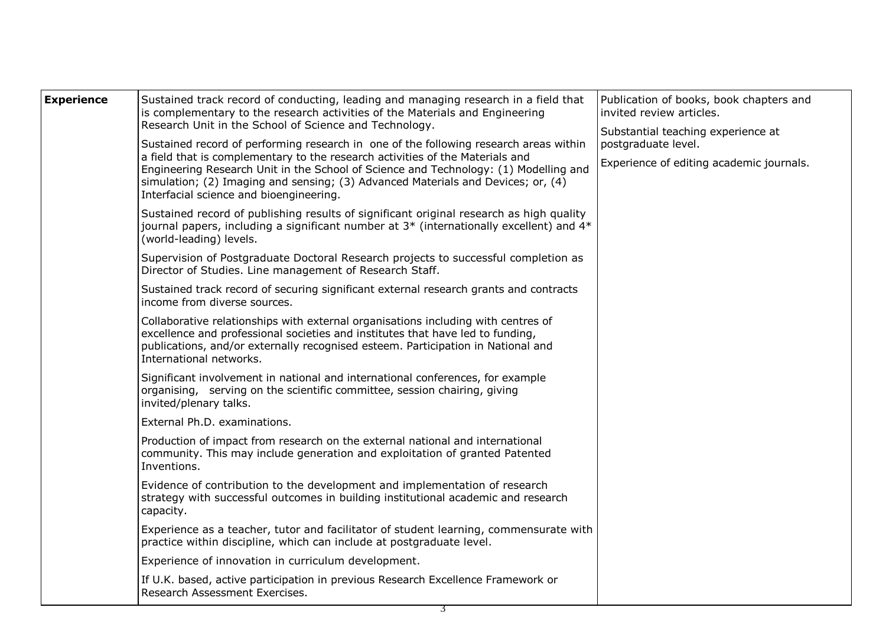|                                                                                                                    | <b>Experience</b> | Sustained track record of conducting, leading and managing research in a field that<br>is complementary to the research activities of the Materials and Engineering<br>Research Unit in the School of Science and Technology.<br>Sustained record of performing research in one of the following research areas within<br>a field that is complementary to the research activities of the Materials and<br>Engineering Research Unit in the School of Science and Technology: (1) Modelling and<br>simulation; (2) Imaging and sensing; (3) Advanced Materials and Devices; or, (4)<br>Interfacial science and bioengineering.<br>Sustained record of publishing results of significant original research as high quality<br>journal papers, including a significant number at 3* (internationally excellent) and 4*<br>(world-leading) levels.<br>Supervision of Postgraduate Doctoral Research projects to successful completion as<br>Director of Studies. Line management of Research Staff.<br>Sustained track record of securing significant external research grants and contracts<br>income from diverse sources.<br>Collaborative relationships with external organisations including with centres of<br>excellence and professional societies and institutes that have led to funding,<br>publications, and/or externally recognised esteem. Participation in National and<br>International networks.<br>Significant involvement in national and international conferences, for example<br>organising, serving on the scientific committee, session chairing, giving<br>invited/plenary talks.<br>External Ph.D. examinations.<br>Production of impact from research on the external national and international<br>community. This may include generation and exploitation of granted Patented<br>Inventions.<br>Evidence of contribution to the development and implementation of research<br>strategy with successful outcomes in building institutional academic and research<br>capacity.<br>Experience as a teacher, tutor and facilitator of student learning, commensurate with<br>practice within discipline, which can include at postgraduate level.<br>Experience of innovation in curriculum development. | Publication of books, book chapters and<br>invited review articles.<br>Substantial teaching experience at<br>postgraduate level.<br>Experience of editing academic journals. |  |
|--------------------------------------------------------------------------------------------------------------------|-------------------|---------------------------------------------------------------------------------------------------------------------------------------------------------------------------------------------------------------------------------------------------------------------------------------------------------------------------------------------------------------------------------------------------------------------------------------------------------------------------------------------------------------------------------------------------------------------------------------------------------------------------------------------------------------------------------------------------------------------------------------------------------------------------------------------------------------------------------------------------------------------------------------------------------------------------------------------------------------------------------------------------------------------------------------------------------------------------------------------------------------------------------------------------------------------------------------------------------------------------------------------------------------------------------------------------------------------------------------------------------------------------------------------------------------------------------------------------------------------------------------------------------------------------------------------------------------------------------------------------------------------------------------------------------------------------------------------------------------------------------------------------------------------------------------------------------------------------------------------------------------------------------------------------------------------------------------------------------------------------------------------------------------------------------------------------------------------------------------------------------------------------------------------------------------------------------------------------------------------------------|------------------------------------------------------------------------------------------------------------------------------------------------------------------------------|--|
| If U.K. based, active participation in previous Research Excellence Framework or<br>Research Assessment Exercises. |                   |                                                                                                                                                                                                                                                                                                                                                                                                                                                                                                                                                                                                                                                                                                                                                                                                                                                                                                                                                                                                                                                                                                                                                                                                                                                                                                                                                                                                                                                                                                                                                                                                                                                                                                                                                                                                                                                                                                                                                                                                                                                                                                                                                                                                                                 |                                                                                                                                                                              |  |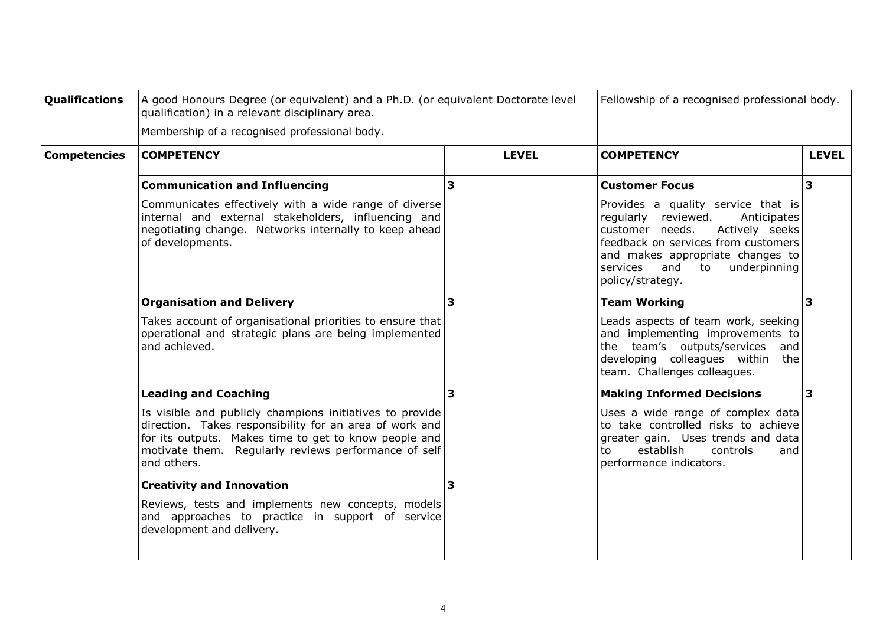| <b>Qualifications</b> | A good Honours Degree (or equivalent) and a Ph.D. (or equivalent Doctorate level<br>qualification) in a relevant disciplinary area.                                                                                                                 |                         | Fellowship of a recognised professional body.                                                                                                                                                                                                         |                         |
|-----------------------|-----------------------------------------------------------------------------------------------------------------------------------------------------------------------------------------------------------------------------------------------------|-------------------------|-------------------------------------------------------------------------------------------------------------------------------------------------------------------------------------------------------------------------------------------------------|-------------------------|
|                       | Membership of a recognised professional body.                                                                                                                                                                                                       |                         |                                                                                                                                                                                                                                                       |                         |
| <b>Competencies</b>   | <b>COMPETENCY</b>                                                                                                                                                                                                                                   | <b>LEVEL</b>            | <b>COMPETENCY</b>                                                                                                                                                                                                                                     | <b>LEVEL</b>            |
|                       | <b>Communication and Influencing</b>                                                                                                                                                                                                                | $\overline{\mathbf{3}}$ | <b>Customer Focus</b>                                                                                                                                                                                                                                 | $\overline{\mathbf{3}}$ |
|                       | Communicates effectively with a wide range of diverse<br>internal and external stakeholders, influencing and<br>negotiating change. Networks internally to keep ahead<br>of developments.                                                           |                         | Provides a quality service that is<br>regularly reviewed.<br>Anticipates<br>customer needs.<br>Actively seeks<br>feedback on services from customers<br>and makes appropriate changes to<br>and<br>to<br>underpinning<br>services<br>policy/strategy. |                         |
|                       | <b>Organisation and Delivery</b>                                                                                                                                                                                                                    | 3                       | <b>Team Working</b>                                                                                                                                                                                                                                   | 3                       |
|                       | Takes account of organisational priorities to ensure that<br>operational and strategic plans are being implemented<br>and achieved.                                                                                                                 |                         | Leads aspects of team work, seeking<br>and implementing improvements to<br>the team's outputs/services<br>and<br>developing colleagues within<br>the<br>team. Challenges colleagues.                                                                  |                         |
|                       | <b>Leading and Coaching</b>                                                                                                                                                                                                                         | 3                       | <b>Making Informed Decisions</b>                                                                                                                                                                                                                      | 3                       |
|                       | Is visible and publicly champions initiatives to provide<br>direction. Takes responsibility for an area of work and<br>for its outputs. Makes time to get to know people and<br>motivate them. Regularly reviews performance of self<br>and others. |                         | Uses a wide range of complex data<br>to take controlled risks to achieve<br>greater gain. Uses trends and data<br>establish<br>controls<br>to<br>and<br>performance indicators.                                                                       |                         |
|                       | <b>Creativity and Innovation</b>                                                                                                                                                                                                                    | 3                       |                                                                                                                                                                                                                                                       |                         |
|                       | Reviews, tests and implements new concepts, models<br>and approaches to practice in support of service<br>development and delivery.                                                                                                                 |                         |                                                                                                                                                                                                                                                       |                         |